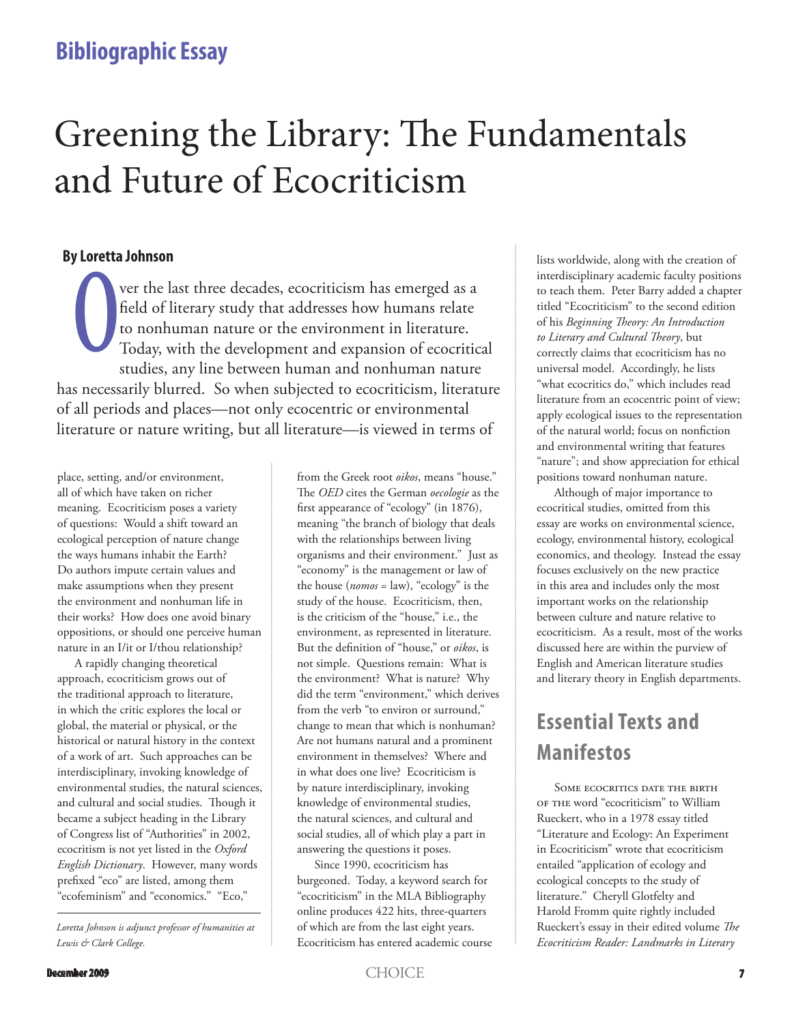#### **Bibliographic Essay**

# Greening the Library: The Fundamentals and Future of Ecocriticism

#### **By Loretta Johnson**

ver the last three decades, ecocriticism has emerged as a field of literary study that addresses how humans relate to nonhuman nature or the environment in literature. Today, with the development and expansion of ecocritical studies, any line between human and nonhuman nature has necessarily blurred. So when subjected to ecocriticism, literature of all periods and places—not only ecocentric or environmental literature or nature writing, but all literature—is viewed in terms of **O**

place, setting, and/or environment, all of which have taken on richer meaning. Ecocriticism poses a variety of questions: Would a shift toward an ecological perception of nature change the ways humans inhabit the Earth? Do authors impute certain values and make assumptions when they present the environment and nonhuman life in their works? How does one avoid binary oppositions, or should one perceive human nature in an I/it or I/thou relationship?

A rapidly changing theoretical approach, ecocriticism grows out of the traditional approach to literature, in which the critic explores the local or global, the material or physical, or the historical or natural history in the context of a work of art. Such approaches can be interdisciplinary, invoking knowledge of environmental studies, the natural sciences, and cultural and social studies. Though it became a subject heading in the Library of Congress list of "Authorities" in 2002, ecocritism is not yet listed in the *Oxford English Dictionary*. However, many words prefixed "eco" are listed, among them "ecofeminism" and "economics." "Eco,"

*Loretta Johnson is adjunct professor of humanities at Lewis & Clark College.*

from the Greek root *oikos*, means "house." The *OED* cites the German *oecologie* as the first appearance of "ecology" (in 1876), meaning "the branch of biology that deals with the relationships between living organisms and their environment." Just as "economy" is the management or law of the house (*nomos* = law), "ecology" is the study of the house. Ecocriticism, then, is the criticism of the "house," i.e., the environment, as represented in literature. But the definition of "house," or *oikos*, is not simple. Questions remain: What is the environment? What is nature? Why did the term "environment," which derives from the verb "to environ or surround," change to mean that which is nonhuman? Are not humans natural and a prominent environment in themselves? Where and in what does one live? Ecocriticism is by nature interdisciplinary, invoking knowledge of environmental studies, the natural sciences, and cultural and social studies, all of which play a part in answering the questions it poses.

Since 1990, ecocriticism has burgeoned. Today, a keyword search for "ecocriticism" in the MLA Bibliography online produces 422 hits, three-quarters of which are from the last eight years. Ecocriticism has entered academic course lists worldwide, along with the creation of interdisciplinary academic faculty positions to teach them. Peter Barry added a chapter titled "Ecocriticism" to the second edition of his *Beginning Theory: An Introduction to Literary and Cultural Theory*, but correctly claims that ecocriticism has no universal model. Accordingly, he lists "what ecocritics do," which includes read literature from an ecocentric point of view; apply ecological issues to the representation of the natural world; focus on nonfiction and environmental writing that features "nature"; and show appreciation for ethical positions toward nonhuman nature.

Although of major importance to ecocritical studies, omitted from this essay are works on environmental science, ecology, environmental history, ecological economics, and theology. Instead the essay focuses exclusively on the new practice in this area and includes only the most important works on the relationship between culture and nature relative to ecocriticism. As a result, most of the works discussed here are within the purview of English and American literature studies and literary theory in English departments.

## **Essential Texts and Manifestos**

Some ecocritics date the birth of the word "ecocriticism" to William Rueckert, who in a 1978 essay titled "Literature and Ecology: An Experiment in Ecocriticism" wrote that ecocriticism entailed "application of ecology and ecological concepts to the study of literature." Cheryll Glotfelty and Harold Fromm quite rightly included Rueckert's essay in their edited volume *The Ecocriticism Reader: Landmarks in Literary*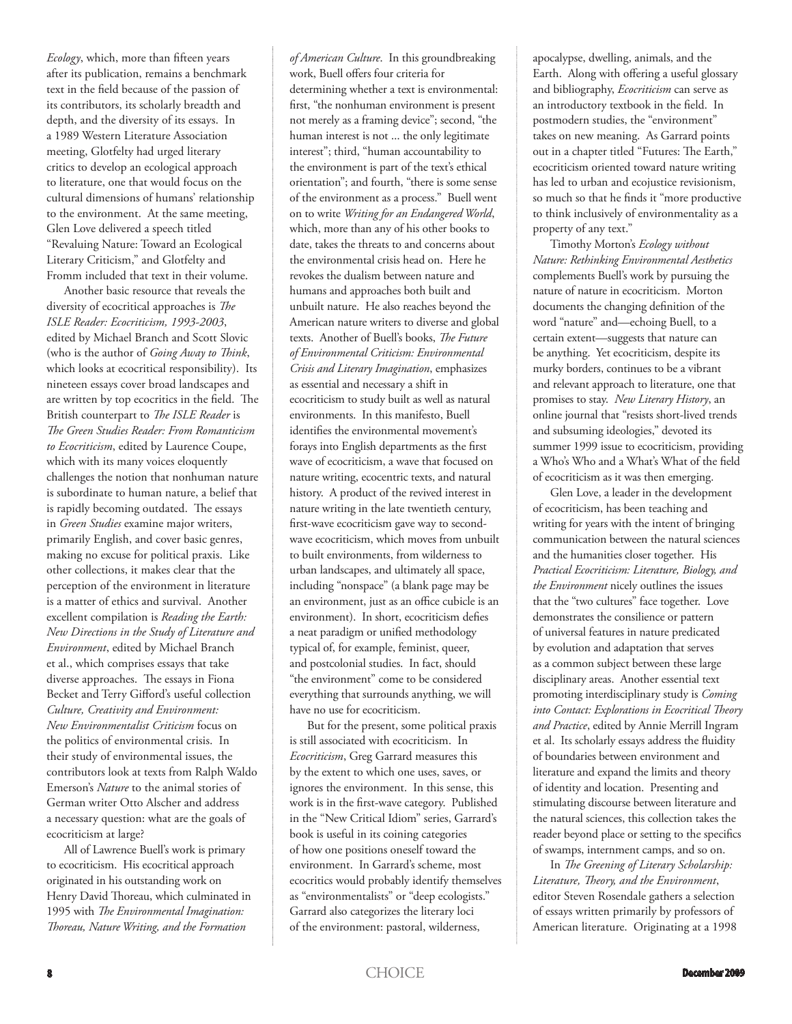*Ecology*, which, more than fifteen years after its publication, remains a benchmark text in the field because of the passion of its contributors, its scholarly breadth and depth, and the diversity of its essays. In a 1989 Western Literature Association meeting, Glotfelty had urged literary critics to develop an ecological approach to literature, one that would focus on the cultural dimensions of humans' relationship to the environment. At the same meeting, Glen Love delivered a speech titled "Revaluing Nature: Toward an Ecological Literary Criticism," and Glotfelty and Fromm included that text in their volume.

Another basic resource that reveals the diversity of ecocritical approaches is *The ISLE Reader: Ecocriticism, 1993-2003*, edited by Michael Branch and Scott Slovic (who is the author of *Going Away to Think*, which looks at ecocritical responsibility). Its nineteen essays cover broad landscapes and are written by top ecocritics in the field. The British counterpart to *The ISLE Reader* is *The Green Studies Reader: From Romanticism to Ecocriticism*, edited by Laurence Coupe, which with its many voices eloquently challenges the notion that nonhuman nature is subordinate to human nature, a belief that is rapidly becoming outdated. The essays in *Green Studies* examine major writers, primarily English, and cover basic genres, making no excuse for political praxis. Like other collections, it makes clear that the perception of the environment in literature is a matter of ethics and survival. Another excellent compilation is *Reading the Earth: New Directions in the Study of Literature and Environment*, edited by Michael Branch et al., which comprises essays that take diverse approaches. The essays in Fiona Becket and Terry Gifford's useful collection *Culture, Creativity and Environment: New Environmentalist Criticism* focus on the politics of environmental crisis. In their study of environmental issues, the contributors look at texts from Ralph Waldo Emerson's *Nature* to the animal stories of German writer Otto Alscher and address a necessary question: what are the goals of ecocriticism at large?

All of Lawrence Buell's work is primary to ecocriticism. His ecocritical approach originated in his outstanding work on Henry David Thoreau, which culminated in 1995 with *The Environmental Imagination: Thoreau, Nature Writing, and the Formation* 

*of American Culture*. In this groundbreaking work, Buell offers four criteria for determining whether a text is environmental: first, "the nonhuman environment is present not merely as a framing device"; second, "the human interest is not ... the only legitimate interest"; third, "human accountability to the environment is part of the text's ethical orientation"; and fourth, "there is some sense of the environment as a process." Buell went on to write *Writing for an Endangered World*, which, more than any of his other books to date, takes the threats to and concerns about the environmental crisis head on. Here he revokes the dualism between nature and humans and approaches both built and unbuilt nature. He also reaches beyond the American nature writers to diverse and global texts. Another of Buell's books, *The Future of Environmental Criticism: Environmental Crisis and Literary Imagination*, emphasizes as essential and necessary a shift in ecocriticism to study built as well as natural environments. In this manifesto, Buell identifies the environmental movement's forays into English departments as the first wave of ecocriticism, a wave that focused on nature writing, ecocentric texts, and natural history. A product of the revived interest in nature writing in the late twentieth century, first-wave ecocriticism gave way to secondwave ecocriticism, which moves from unbuilt to built environments, from wilderness to urban landscapes, and ultimately all space, including "nonspace" (a blank page may be an environment, just as an office cubicle is an environment). In short, ecocriticism defies a neat paradigm or unified methodology typical of, for example, feminist, queer, and postcolonial studies. In fact, should "the environment" come to be considered everything that surrounds anything, we will have no use for ecocriticism.

But for the present, some political praxis is still associated with ecocriticism. In *Ecocriticism*, Greg Garrard measures this by the extent to which one uses, saves, or ignores the environment. In this sense, this work is in the first-wave category. Published in the "New Critical Idiom" series, Garrard's book is useful in its coining categories of how one positions oneself toward the environment. In Garrard's scheme, most ecocritics would probably identify themselves as "environmentalists" or "deep ecologists." Garrard also categorizes the literary loci of the environment: pastoral, wilderness,

apocalypse, dwelling, animals, and the Earth. Along with offering a useful glossary and bibliography, *Ecocriticism* can serve as an introductory textbook in the field. In postmodern studies, the "environment" takes on new meaning. As Garrard points out in a chapter titled "Futures: The Earth," ecocriticism oriented toward nature writing has led to urban and ecojustice revisionism, so much so that he finds it "more productive to think inclusively of environmentality as a property of any text."

Timothy Morton's *Ecology without Nature: Rethinking Environmental Aesthetics*  complements Buell's work by pursuing the nature of nature in ecocriticism. Morton documents the changing definition of the word "nature" and—echoing Buell, to a certain extent—suggests that nature can be anything. Yet ecocriticism, despite its murky borders, continues to be a vibrant and relevant approach to literature, one that promises to stay. *New Literary History*, an online journal that "resists short-lived trends and subsuming ideologies," devoted its summer 1999 issue to ecocriticism, providing a Who's Who and a What's What of the field of ecocriticism as it was then emerging.

Glen Love, a leader in the development of ecocriticism, has been teaching and writing for years with the intent of bringing communication between the natural sciences and the humanities closer together. His *Practical Ecocriticism: Literature, Biology, and the Environment* nicely outlines the issues that the "two cultures" face together. Love demonstrates the consilience or pattern of universal features in nature predicated by evolution and adaptation that serves as a common subject between these large disciplinary areas. Another essential text promoting interdisciplinary study is *Coming into Contact: Explorations in Ecocritical Theory and Practice*, edited by Annie Merrill Ingram et al. Its scholarly essays address the fluidity of boundaries between environment and literature and expand the limits and theory of identity and location. Presenting and stimulating discourse between literature and the natural sciences, this collection takes the reader beyond place or setting to the specifics of swamps, internment camps, and so on.

In *The Greening of Literary Scholarship: Literature, Theory, and the Environment*, editor Steven Rosendale gathers a selection of essays written primarily by professors of American literature. Originating at a 1998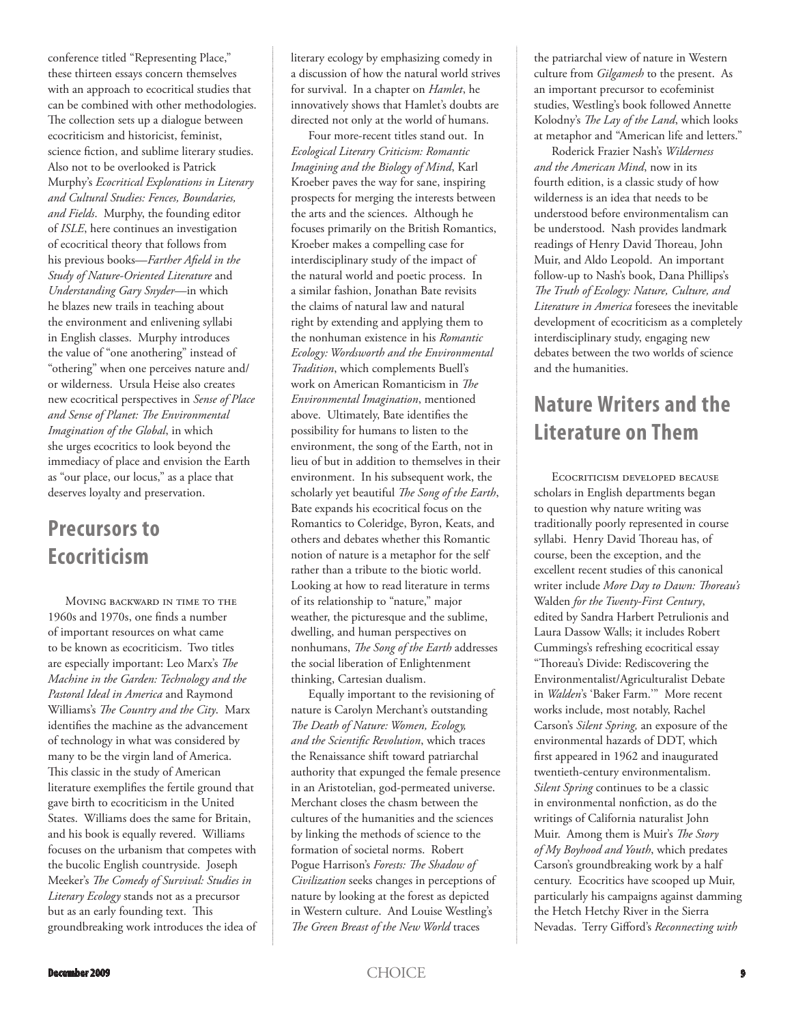conference titled "Representing Place," these thirteen essays concern themselves with an approach to ecocritical studies that can be combined with other methodologies. The collection sets up a dialogue between ecocriticism and historicist, feminist, science fiction, and sublime literary studies. Also not to be overlooked is Patrick Murphy's *Ecocritical Explorations in Literary and Cultural Studies: Fences, Boundaries, and Fields*. Murphy, the founding editor of *ISLE*, here continues an investigation of ecocritical theory that follows from his previous books—*Farther Afield in the Study of Nature-Oriented Literature* and *Understanding Gary Snyder*—in which he blazes new trails in teaching about the environment and enlivening syllabi in English classes. Murphy introduces the value of "one anothering" instead of "othering" when one perceives nature and/ or wilderness. Ursula Heise also creates new ecocritical perspectives in *Sense of Place and Sense of Planet: The Environmental Imagination of the Global*, in which she urges ecocritics to look beyond the immediacy of place and envision the Earth as "our place, our locus," as a place that deserves loyalty and preservation.

#### **Precursors to Ecocriticism**

Moving backward in time to the 1960s and 1970s, one finds a number of important resources on what came to be known as ecocriticism. Two titles are especially important: Leo Marx's *The Machine in the Garden: Technology and the Pastoral Ideal in America* and Raymond Williams's *The Country and the City*. Marx identifies the machine as the advancement of technology in what was considered by many to be the virgin land of America. This classic in the study of American literature exemplifies the fertile ground that gave birth to ecocriticism in the United States. Williams does the same for Britain, and his book is equally revered. Williams focuses on the urbanism that competes with the bucolic English countryside. Joseph Meeker's *The Comedy of Survival: Studies in Literary Ecology* stands not as a precursor but as an early founding text. This groundbreaking work introduces the idea of literary ecology by emphasizing comedy in a discussion of how the natural world strives for survival. In a chapter on *Hamlet*, he innovatively shows that Hamlet's doubts are directed not only at the world of humans.

Four more-recent titles stand out. In *Ecological Literary Criticism: Romantic Imagining and the Biology of Mind*, Karl Kroeber paves the way for sane, inspiring prospects for merging the interests between the arts and the sciences. Although he focuses primarily on the British Romantics, Kroeber makes a compelling case for interdisciplinary study of the impact of the natural world and poetic process. In a similar fashion, Jonathan Bate revisits the claims of natural law and natural right by extending and applying them to the nonhuman existence in his *Romantic Ecology: Wordsworth and the Environmental Tradition*, which complements Buell's work on American Romanticism in *The Environmental Imagination*, mentioned above. Ultimately, Bate identifies the possibility for humans to listen to the environment, the song of the Earth, not in lieu of but in addition to themselves in their environment. In his subsequent work, the scholarly yet beautiful *The Song of the Earth*, Bate expands his ecocritical focus on the Romantics to Coleridge, Byron, Keats, and others and debates whether this Romantic notion of nature is a metaphor for the self rather than a tribute to the biotic world. Looking at how to read literature in terms of its relationship to "nature," major weather, the picturesque and the sublime, dwelling, and human perspectives on nonhumans, *The Song of the Earth* addresses the social liberation of Enlightenment thinking, Cartesian dualism.

Equally important to the revisioning of nature is Carolyn Merchant's outstanding *The Death of Nature: Women, Ecology, and the Scientific Revolution*, which traces the Renaissance shift toward patriarchal authority that expunged the female presence in an Aristotelian, god-permeated universe. Merchant closes the chasm between the cultures of the humanities and the sciences by linking the methods of science to the formation of societal norms.Robert Pogue Harrison's *Forests: The Shadow of Civilization* seeks changes in perceptions of nature by looking at the forest as depicted in Western culture. And Louise Westling's *The Green Breast of the New World* traces

the patriarchal view of nature in Western culture from *Gilgamesh* to the present. As an important precursor to ecofeminist studies, Westling's book followed Annette Kolodny's *The Lay of the Land*, which looks at metaphor and "American life and letters."

Roderick Frazier Nash's *Wilderness and the American Mind*, now in its fourth edition, is a classic study of how wilderness is an idea that needs to be understood before environmentalism can be understood. Nash provides landmark readings of Henry David Thoreau, John Muir, and Aldo Leopold. An important follow-up to Nash's book, Dana Phillips's *The Truth of Ecology: Nature, Culture, and Literature in America* foresees the inevitable development of ecocriticism as a completely interdisciplinary study, engaging new debates between the two worlds of science and the humanities.

## **Nature Writers and the Literature on Them**

Ecocriticism developed because scholars in English departments began to question why nature writing was traditionally poorly represented in course syllabi. Henry David Thoreau has, of course, been the exception, and the excellent recent studies of this canonical writer include *More Day to Dawn: Thoreau's*  Walden *for the Twenty-First Century*, edited by Sandra Harbert Petrulionis and Laura Dassow Walls; it includes Robert Cummings's refreshing ecocritical essay "Thoreau's Divide: Rediscovering the Environmentalist/Agriculturalist Debate in *Walden*'s 'Baker Farm.'" More recent works include, most notably, Rachel Carson's *Silent Spring,* an exposure of the environmental hazards of DDT, which first appeared in 1962 and inaugurated twentieth-century environmentalism. *Silent Spring* continues to be a classic in environmental nonfiction, as do the writings of California naturalist John Muir. Among them is Muir's *The Story of My Boyhood and Youth*, which predates Carson's groundbreaking work by a half century. Ecocritics have scooped up Muir, particularly his campaigns against damming the Hetch Hetchy River in the Sierra Nevadas. Terry Gifford's *Reconnecting with*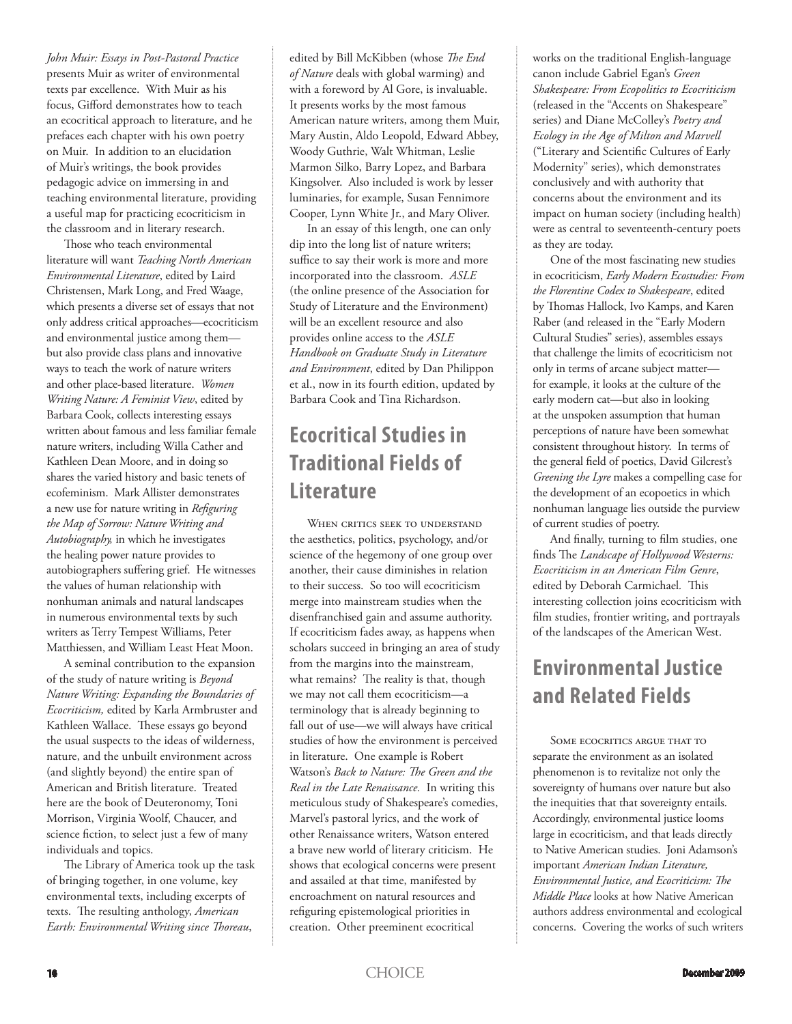*John Muir: Essays in Post-Pastoral Practice* presents Muir as writer of environmental texts par excellence. With Muir as his focus, Gifford demonstrates how to teach an ecocritical approach to literature, and he prefaces each chapter with his own poetry on Muir. In addition to an elucidation of Muir's writings, the book provides pedagogic advice on immersing in and teaching environmental literature, providing a useful map for practicing ecocriticism in the classroom and in literary research.

Those who teach environmental literature will want *Teaching North American Environmental Literature*, edited by Laird Christensen, Mark Long, and Fred Waage, which presents a diverse set of essays that not only address critical approaches—ecocriticism and environmental justice among them but also provide class plans and innovative ways to teach the work of nature writers and other place-based literature. *Women Writing Nature: A Feminist View*, edited by Barbara Cook, collects interesting essays written about famous and less familiar female nature writers, including Willa Cather and Kathleen Dean Moore, and in doing so shares the varied history and basic tenets of ecofeminism. Mark Allister demonstrates a new use for nature writing in *Refiguring the Map of Sorrow: Nature Writing and Autobiography,* in which he investigates the healing power nature provides to autobiographers suffering grief. He witnesses the values of human relationship with nonhuman animals and natural landscapes in numerous environmental texts by such writers as Terry Tempest Williams, Peter Matthiessen, and William Least Heat Moon.

A seminal contribution to the expansion of the study of nature writing is *Beyond Nature Writing: Expanding the Boundaries of Ecocriticism,* edited by Karla Armbruster and Kathleen Wallace. These essays go beyond the usual suspects to the ideas of wilderness, nature, and the unbuilt environment across (and slightly beyond) the entire span of American and British literature. Treated here are the book of Deuteronomy, Toni Morrison, Virginia Woolf, Chaucer, and science fiction, to select just a few of many individuals and topics.

The Library of America took up the task of bringing together, in one volume, key environmental texts, including excerpts of texts. The resulting anthology, *American Earth: Environmental Writing since Thoreau*,

edited by Bill McKibben (whose *The End of Nature* deals with global warming) and with a foreword by Al Gore, is invaluable. It presents works by the most famous American nature writers, among them Muir, Mary Austin, Aldo Leopold, Edward Abbey, Woody Guthrie, Walt Whitman, Leslie Marmon Silko, Barry Lopez, and Barbara Kingsolver. Also included is work by lesser luminaries, for example, Susan Fennimore Cooper, Lynn White Jr., and Mary Oliver.

In an essay of this length, one can only dip into the long list of nature writers; suffice to say their work is more and more incorporated into the classroom. *ASLE*  (the online presence of the Association for Study of Literature and the Environment) will be an excellent resource and also provides online access to the *ASLE Handbook on Graduate Study in Literature and Environment*, edited by Dan Philippon et al., now in its fourth edition, updated by Barbara Cook and Tina Richardson.

#### **Ecocritical Studies in Traditional Fields of Literature**

When critics seek to understand the aesthetics, politics, psychology, and/or science of the hegemony of one group over another, their cause diminishes in relation to their success. So too will ecocriticism merge into mainstream studies when the disenfranchised gain and assume authority. If ecocriticism fades away, as happens when scholars succeed in bringing an area of study from the margins into the mainstream, what remains? The reality is that, though we may not call them ecocriticism—a terminology that is already beginning to fall out of use—we will always have critical studies of how the environment is perceived in literature. One example is Robert Watson's *Back to Nature: The Green and the Real in the Late Renaissance.* In writing this meticulous study of Shakespeare's comedies, Marvel's pastoral lyrics, and the work of other Renaissance writers, Watson entered a brave new world of literary criticism. He shows that ecological concerns were present and assailed at that time, manifested by encroachment on natural resources and refiguring epistemological priorities in creation. Other preeminent ecocritical

works on the traditional English-language canon include Gabriel Egan's *Green Shakespeare: From Ecopolitics to Ecocriticism*  (released in the "Accents on Shakespeare" series) and Diane McColley's *Poetry and Ecology in the Age of Milton and Marvell*  ("Literary and Scientific Cultures of Early Modernity" series), which demonstrates conclusively and with authority that concerns about the environment and its impact on human society (including health) were as central to seventeenth-century poets as they are today.

One of the most fascinating new studies in ecocriticism, *Early Modern Ecostudies: From the Florentine Codex to Shakespeare*, edited by Thomas Hallock, Ivo Kamps, and Karen Raber (and released in the "Early Modern Cultural Studies" series), assembles essays that challenge the limits of ecocriticism not only in terms of arcane subject matter for example, it looks at the culture of the early modern cat—but also in looking at the unspoken assumption that human perceptions of nature have been somewhat consistent throughout history. In terms of the general field of poetics, David Gilcrest's *Greening the Lyre* makes a compelling case for the development of an ecopoetics in which nonhuman language lies outside the purview of current studies of poetry.

And finally, turning to film studies, one finds The *Landscape of Hollywood Westerns: Ecocriticism in an American Film Genre*, edited by Deborah Carmichael*.* This interesting collection joins ecocriticism with film studies, frontier writing, and portrayals of the landscapes of the American West.

## **Environmental Justice and Related Fields**

Some ecocritics argue that to separate the environment as an isolated phenomenon is to revitalize not only the sovereignty of humans over nature but also the inequities that that sovereignty entails. Accordingly, environmental justice looms large in ecocriticism, and that leads directly to Native American studies. Joni Adamson's important *American Indian Literature, Environmental Justice, and Ecocriticism: The Middle Place* looks at how Native American authors address environmental and ecological concerns. Covering the works of such writers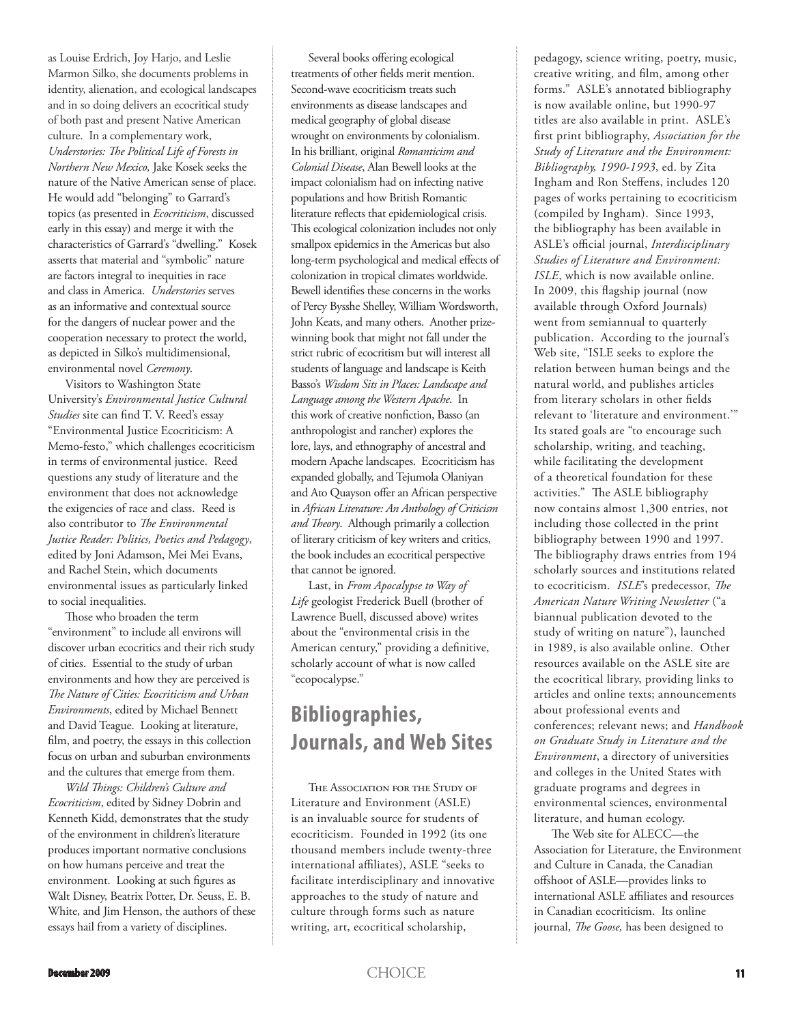as Louise Erdrich, Joy Harjo, and Leslie Marmon Silko, she documents problems in identity, alienation, and ecological landscapes and in so doing delivers an ecocritical study of both past and present Native American culture. In a complementary work, *Understories: The Political Life of Forests in Northern New Mexico,* Jake Kosek seeks the nature of the Native American sense of place. He would add "belonging" to Garrard's topics (as presented in *Ecocriticism*, discussed early in this essay) and merge it with the characteristics of Garrard's "dwelling." Kosek asserts that material and "symbolic" nature are factors integral to inequities in race and class in America. *Understories* serves as an informative and contextual source for the dangers of nuclear power and the cooperation necessary to protect the world, as depicted in Silko's multidimensional, environmental novel *Ceremony*.

Visitors to Washington State University's *Environmental Justice Cultural Studies* site can find T. V. Reed's essay "Environmental Justice Ecocriticism: A Memo-festo," which challenges ecocriticism in terms of environmental justice. Reed questions any study of literature and the environment that does not acknowledge the exigencies of race and class. Reed is also contributor to *The Environmental Justice Reader: Politics, Poetics and Pedagogy*, edited by Joni Adamson, Mei Mei Evans, and Rachel Stein, which documents environmental issues as particularly linked to social inequalities.

Those who broaden the term "environment" to include all environs will discover urban ecocritics and their rich study of cities. Essential to the study of urban environments and how they are perceived is *The Nature of Cities: Ecocriticism and Urban Environments*, edited by Michael Bennett and David Teague. Looking at literature, film, and poetry, the essays in this collection focus on urban and suburban environments and the cultures that emerge from them.

*Wild Things: Children's Culture and Ecocriticism*, edited by Sidney Dobrin and Kenneth Kidd, demonstrates that the study of the environment in children's literature produces important normative conclusions on how humans perceive and treat the environment. Looking at such figures as Walt Disney, Beatrix Potter, Dr. Seuss, E. B. White, and Jim Henson, the authors of these essays hail from a variety of disciplines.

Several books offering ecological treatments of other fields merit mention. Second-wave ecocriticism treats such environments as disease landscapes and medical geography of global disease wrought on environments by colonialism. In his brilliant, original *Romanticism and Colonial Disease*, Alan Bewell looks at the impact colonialism had on infecting native populations and how British Romantic literature reflects that epidemiological crisis. This ecological colonization includes not only smallpox epidemics in the Americas but also long-term psychological and medical effects of colonization in tropical climates worldwide. Bewell identifies these concerns in the works of Percy Bysshe Shelley, William Wordsworth, John Keats, and many others. Another prizewinning book that might not fall under the strict rubric of ecocritism but will interest all students of language and landscape is Keith Basso's *Wisdom Sits in Places: Landscape and Language among the Western Apache*. In this work of creative nonfiction, Basso (an anthropologist and rancher) explores the lore, lays, and ethnography of ancestral and modern Apache landscapes. Ecocriticism has expanded globally, and Tejumola Olaniyan and Ato Quayson offer an African perspective in *African Literature: An Anthology of Criticism and Theory*. Although primarily a collection of literary criticism of key writers and critics, the book includes an ecocritical perspective that cannot be ignored.

Last, in *From Apocalypse to Way of Life* geologist Frederick Buell (brother of Lawrence Buell, discussed above) writes about the "environmental crisis in the American century," providing a definitive, scholarly account of what is now called "ecopocalypse."

#### **Bibliographies, Journals, and Web Sites**

The Association for the Study of Literature and Environment (ASLE) is an invaluable source for students of ecocriticism. Founded in 1992 (its one thousand members include twenty-three international affiliates), ASLE "seeks to facilitate interdisciplinary and innovative approaches to the study of nature and culture through forms such as nature writing, art, ecocritical scholarship,

pedagogy, science writing, poetry, music, creative writing, and film, among other forms." ASLE's annotated bibliography is now available online, but 1990-97 titles are also available in print. ASLE's first print bibliography, *Association for the Study of Literature and the Environment: Bibliography, 1990-1993*, ed. by Zita Ingham and Ron Steffens, includes 120 pages of works pertaining to ecocriticism (compiled by Ingham). Since 1993, the bibliography has been available in ASLE's official journal, *Interdisciplinary Studies of Literature and Environment: ISLE*, which is now available online. In 2009, this flagship journal (now available through Oxford Journals) went from semiannual to quarterly publication. According to the journal's Web site, "ISLE seeks to explore the relation between human beings and the natural world, and publishes articles from literary scholars in other fields relevant to 'literature and environment.'" Its stated goals are "to encourage such scholarship, writing, and teaching, while facilitating the development of a theoretical foundation for these activities." The ASLE bibliography now contains almost 1,300 entries, not including those collected in the print bibliography between 1990 and 1997. The bibliography draws entries from 194 scholarly sources and institutions related to ecocriticism. *ISLE*'s predecessor, *The American Nature Writing Newsletter* ("a biannual publication devoted to the study of writing on nature"), launched in 1989, is also available online. Other resources available on the ASLE site are the ecocritical library, providing links to articles and online texts; announcements about professional events and conferences; relevant news; and *Handbook on Graduate Study in Literature and the Environment*, a directory of universities and colleges in the United States with graduate programs and degrees in environmental sciences, environmental literature, and human ecology.

The Web site for ALECC—the Association for Literature, the Environment and Culture in Canada, the Canadian offshoot of ASLE—provides links to international ASLE affiliates and resources in Canadian ecocriticism. Its online journal, *The Goose,* has been designed to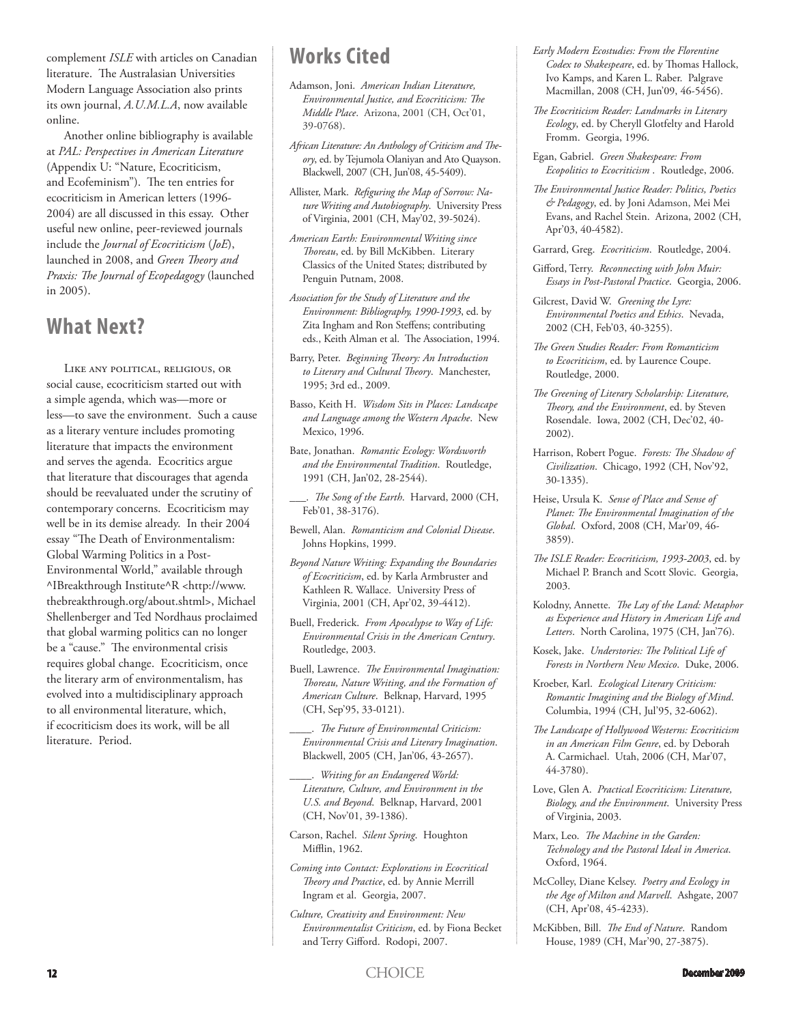complement *ISLE* with articles on Canadian literature. The Australasian Universities Modern Language Association also prints its own journal, *A.U.M.L.A*, now available online.

Another online bibliography is available at *PAL: Perspectives in American Literature* (Appendix U: "Nature, Ecocriticism, and Ecofeminism"). The ten entries for ecocriticism in American letters (1996- 2004) are all discussed in this essay. Other useful new online, peer-reviewed journals include the *Journal of Ecocriticism* (*JoE*), launched in 2008, and *Green Theory and Praxis: The Journal of Ecopedagogy* (launched in 2005).

#### **What Next?**

Like any political, religious, or social cause, ecocriticism started out with a simple agenda, which was—more or less—to save the environment. Such a cause as a literary venture includes promoting literature that impacts the environment and serves the agenda. Ecocritics argue that literature that discourages that agenda should be reevaluated under the scrutiny of contemporary concerns. Ecocriticism may well be in its demise already. In their 2004 essay "The Death of Environmentalism: Global Warming Politics in a Post-Environmental World," available through ^IBreakthrough Institute^R <http://www. thebreakthrough.org/about.shtml>, Michael Shellenberger and Ted Nordhaus proclaimed that global warming politics can no longer be a "cause." The environmental crisis requires global change. Ecocriticism, once the literary arm of environmentalism, has evolved into a multidisciplinary approach to all environmental literature, which, if ecocriticism does its work, will be all literature. Period.

#### **Works Cited**

- Adamson, Joni. *American Indian Literature, Environmental Justice, and Ecocriticism: The Middle Place*. Arizona, 2001 (CH, Oct'01, 39-0768).
- *African Literature: An Anthology of Criticism and Theory*, ed. by Tejumola Olaniyan and Ato Quayson. Blackwell, 2007 (CH, Jun'08, 45-5409).
- Allister, Mark. *Refiguring the Map of Sorrow: Nature Writing and Autobiography*. University Press of Virginia, 2001 (CH, May'02, 39-5024).
- *American Earth: Environmental Writing since Thoreau*, ed. by Bill McKibben. Literary Classics of the United States; distributed by Penguin Putnam, 2008.
- *Association for the Study of Literature and the Environment: Bibliography, 1990-1993*, ed. by Zita Ingham and Ron Steffens; contributing eds., Keith Alman et al. The Association, 1994.
- Barry, Peter. *Beginning Theory: An Introduction to Literary and Cultural Theory*. Manchester, 1995; 3rd ed., 2009.
- Basso, Keith H. *Wisdom Sits in Places: Landscape and Language among the Western Apache*. New Mexico, 1996.
- Bate, Jonathan. *Romantic Ecology: Wordsworth and the Environmental Tradition*. Routledge, 1991 (CH, Jan'02, 28-2544).
- \_\_\_. *The Song of the Earth*. Harvard, 2000 (CH, Feb'01, 38-3176).
- Bewell, Alan. *Romanticism and Colonial Disease*. Johns Hopkins, 1999.
- *Beyond Nature Writing: Expanding the Boundaries of Ecocriticism*, ed. by Karla Armbruster and Kathleen R. Wallace. University Press of Virginia, 2001 (CH, Apr'02, 39-4412).
- Buell, Frederick. *From Apocalypse to Way of Life: Environmental Crisis in the American Century*. Routledge, 2003.
- Buell, Lawrence. *The Environmental Imagination: Thoreau, Nature Writing, and the Formation of American Culture*. Belknap, Harvard, 1995 (CH, Sep'95, 33-0121).

\_\_\_\_. *The Future of Environmental Criticism: Environmental Crisis and Literary Imagination*. Blackwell, 2005 (CH, Jan'06, 43-2657).

\_\_\_\_. *Writing for an Endangered World: Literature, Culture, and Environment in the U.S. and Beyond*. Belknap, Harvard, 2001 (CH, Nov'01, 39-1386).

Carson, Rachel. *Silent Spring*. Houghton Mifflin, 1962.

*Coming into Contact: Explorations in Ecocritical Theory and Practice*, ed. by Annie Merrill Ingram et al. Georgia, 2007.

*Culture, Creativity and Environment: New Environmentalist Criticism*, ed. by Fiona Becket and Terry Gifford. Rodopi, 2007.

- *Early Modern Ecostudies: From the Florentine Codex to Shakespeare*, ed. by Thomas Hallock, Ivo Kamps, and Karen L. Raber. Palgrave Macmillan, 2008 (CH, Jun'09, 46-5456).
- *The Ecocriticism Reader: Landmarks in Literary Ecology*, ed. by Cheryll Glotfelty and Harold Fromm. Georgia, 1996.
- Egan, Gabriel. *Green Shakespeare: From Ecopolitics to Ecocriticism* . Routledge, 2006.
- *The Environmental Justice Reader: Politics, Poetics & Pedagogy*, ed. by Joni Adamson, Mei Mei Evans, and Rachel Stein. Arizona, 2002 (CH, Apr'03, 40-4582).
- Garrard, Greg. *Ecocriticism*. Routledge, 2004.
- Gifford, Terry. *Reconnecting with John Muir: Essays in Post-Pastoral Practice*. Georgia, 2006.
- Gilcrest, David W. *Greening the Lyre: Environmental Poetics and Ethics*. Nevada, 2002 (CH, Feb'03, 40-3255).
- *The Green Studies Reader: From Romanticism to Ecocriticism*, ed. by Laurence Coupe. Routledge, 2000.
- *The Greening of Literary Scholarship: Literature, Theory, and the Environment*, ed. by Steven Rosendale. Iowa, 2002 (CH, Dec'02, 40- 2002).
- Harrison, Robert Pogue. *Forests: The Shadow of Civilization*. Chicago, 1992 (CH, Nov'92, 30-1335).
- Heise, Ursula K. *Sense of Place and Sense of Planet: The Environmental Imagination of the Global*. Oxford, 2008 (CH, Mar'09, 46- 3859).
- *The ISLE Reader: Ecocriticism, 1993-2003*, ed. by Michael P. Branch and Scott Slovic. Georgia, 2003.
- Kolodny, Annette. *The Lay of the Land: Metaphor as Experience and History in American Life and Letters*. North Carolina, 1975 (CH, Jan'76).
- Kosek, Jake. *Understories: The Political Life of Forests in Northern New Mexico*. Duke, 2006.
- Kroeber, Karl. *Ecological Literary Criticism: Romantic Imagining and the Biology of Mind*. Columbia, 1994 (CH, Jul'95, 32-6062).
- *The Landscape of Hollywood Westerns: Ecocriticism in an American Film Genre*, ed. by Deborah A. Carmichael. Utah, 2006 (CH, Mar'07, 44-3780).
- Love, Glen A. *Practical Ecocriticism: Literature, Biology, and the Environment*. University Press of Virginia, 2003.
- Marx, Leo. *The Machine in the Garden: Technology and the Pastoral Ideal in America*. Oxford, 1964.
- McColley, Diane Kelsey. *Poetry and Ecology in the Age of Milton and Marvell*. Ashgate, 2007 (CH, Apr'08, 45-4233).
- McKibben, Bill. *The End of Nature*. Random House, 1989 (CH, Mar'90, 27-3875).